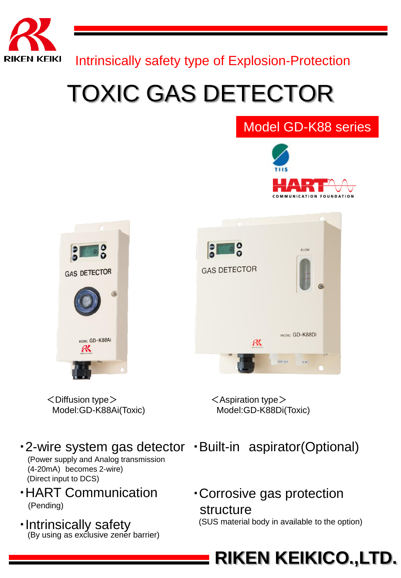

Intrinsically safety type of Explosion-Protection

## TOXIC GAS DETECTOR

#### Model GD-K88 series





 $\leq$ Aspiration type $>$ Model:GD-K88Di(Toxic)

- 
- ・Corrosive gas protection structure (SUS material body in available to the option)

**RIKEN KEIKICO.,LTD.**

# **GAS DETECTOR** ODEL GD-K88AI

 $<$ Diffusion type $>$ Model:GD-K88Ai(Toxic)

・2-wire system gas detector ・Built-in aspirator(Optional)

(Power supply and Analog transmission (4-20mA) becomes 2-wire) (Direct input to DCS)

- ・HART Communication (Pending)
- ・Intrinsically safety (By using as exclusive zener barrier)